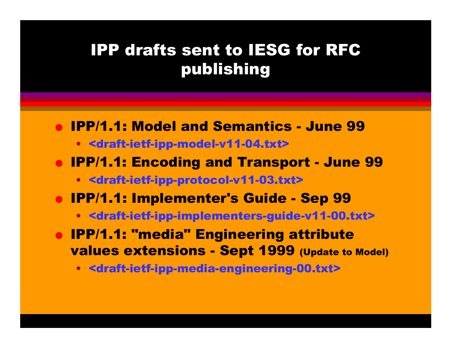# IPP drafts sent to IESG for RFC publishing

- IPP/1.1: Model and Semantics June 99
	- <draft-ietf-ipp-model-v11-04.txt>
- IPP/1.1: Encoding and Transport June 99
	- <draft-ietf-ipp-protocol-v11-03.txt>
- IPP/1.1: Implementer's Guide Sep 99
	- <draft-ietf-ipp-implementers-guide-v11-00.txt>
- IPP/1.1: "media" Engineering attribute values extensions - Sept 1999 (Update to Model)
	- <draft-ietf-ipp-media-engineering-00.txt>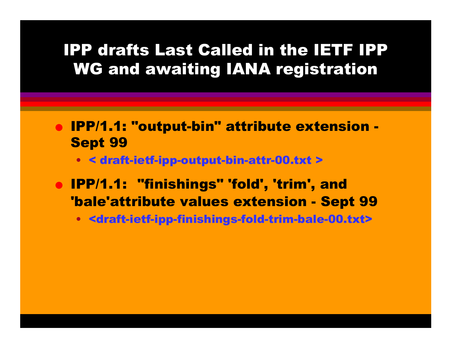# IPP drafts Last Called in the IETF IPP WG and awaiting IANA registration

- IPP/1.1: "output-bin" attribute extension Sept 99
	- < draft-ietf-ipp-output-bin-attr-00.txt >
- IPP/1.1: "finishings" 'fold', 'trim', and 'bale'attribute values extension - Sept 99
	- <draft-ietf-ipp-finishings-fold-trim-bale-00.txt>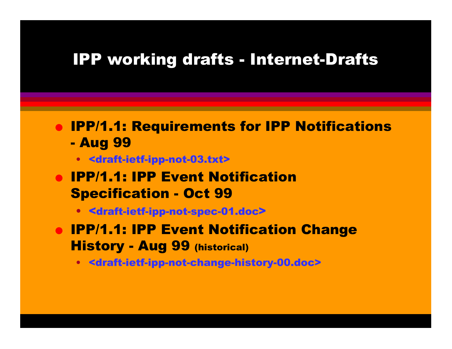### IPP working drafts - Internet-Drafts

● IPP/1.1: Requirements for IPP Notifications - Aug 99

- <draft-ietf-ipp-not-03.txt>
- **IPP/1.1: IPP Event Notification** Specification - Oct 99
	- <draft-ietf-ipp-not-spec-01.doc >
- **IPP/1.1: IPP Event Notification Change** History - Aug 99 (historical)
	- <draft-ietf-ipp-not-change-history-00.doc>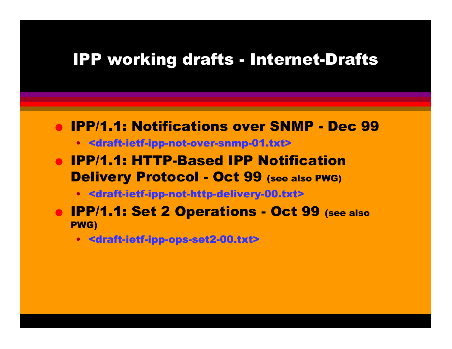#### IPP working drafts - Internet-Drafts

#### ● IPP/1.1: Notifications over SNMP - Dec 99

- <draft-ietf-ipp-not-over-snmp-01.txt>
- IPP/1.1: HTTP-Based IPP Notification Delivery Protocol - Oct 99 (see also PWG)
	- <draft-ietf-ipp-not-http-delivery-00.txt>
- **IPP/1.1: Set 2 Operations Oct 99 (see also** PWG)
	- <draft-ietf-ipp-ops-set2-00.txt>